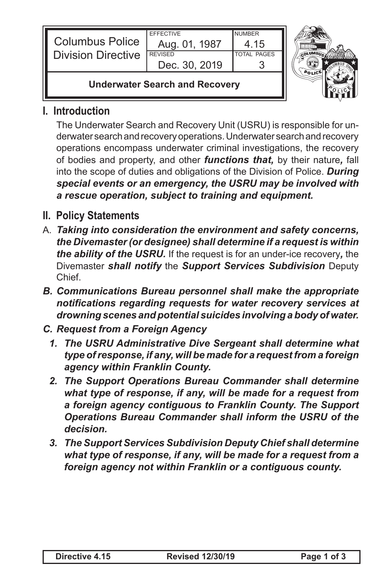| <b>Columbus Police</b><br><b>Division Directive</b> | <b>FFFFCTIVE</b><br>Aug. 01, 1987<br><b>REVISED</b><br>Dec. 30, 2019 | <b>NUMBER</b><br>4 15<br><b>TOTAL PAGES</b> |  |
|-----------------------------------------------------|----------------------------------------------------------------------|---------------------------------------------|--|
| <b>Underwater Search and Recovery</b>               |                                                                      |                                             |  |

## **I. Introduction**

The Underwater Search and Recovery Unit (USRU) is responsible for underwater search and recovery operations. Underwater search and recovery operations encompass underwater criminal investigations, the recovery of bodies and property, and other *functions that,* by their nature*,* fall into the scope of duties and obligations of the Division of Police. *During special events or an emergency, the USRU may be involved with a rescue operation, subject to training and equipment.*

- **II. Policy Statements**
- A. *Taking into consideration the environment and safety concerns, the Divemaster (or designee) shall determine if a request is within the ability of the USRU.* If the request is for an under-ice recovery*,* the Divemaster *shall notify* the *Support Services Subdivision* Deputy Chief.
- *B. Communications Bureau personnel shall make the appropriate notifications regarding requests for water recovery services at drowning scenes and potential suicides involving a body of water.*
- *C. Request from a Foreign Agency*
	- *1. The USRU Administrative Dive Sergeant shall determine what type of response, if any, will be made for a request from a foreign agency within Franklin County.*
	- *2. The Support Operations Bureau Commander shall determine what type of response, if any, will be made for a request from a foreign agency contiguous to Franklin County. The Support Operations Bureau Commander shall inform the USRU of the decision.*
	- *3. The Support Services Subdivision Deputy Chief shall determine what type of response, if any, will be made for a request from a foreign agency not within Franklin or a contiguous county.*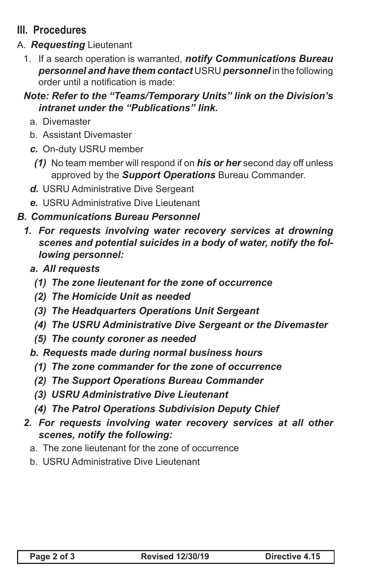## **III. Procedures**

- A. *Requesting* Lieutenant
	- 1. If a search operation is warranted, *notify Communications Bureau personnel and have them contact* USRU *personnel* in the following order until a notification is made:

## *Note: Refer to the "Teams/Temporary Units" link on the Division's intranet under the "Publications" link.*

- a. Divemaster
- b. Assistant Divemaster
- *c.* On-duty USRU member
- *(1)* No team member will respond if on *his or her* second day off unless approved by the *Support Operations* Bureau Commander.
- *d.* USRU Administrative Dive Sergeant
- *e.* USRU Administrative Dive Lieutenant
- *B. Communications Bureau Personnel*
	- *1. For requests involving water recovery services at drowning scenes and potential suicides in a body of water, notify the following personnel:*
		- *a. All requests*
			- *(1) The zone lieutenant for the zone of occurrence*
			- *(2) The Homicide Unit as needed*
			- *(3) The Headquarters Operations Unit Sergeant*
			- *(4) The USRU Administrative Dive Sergeant or the Divemaster*
			- *(5) The county coroner as needed*
		- *b. Requests made during normal business hours*
			- *(1) The zone commander for the zone of occurrence*
			- *(2) The Support Operations Bureau Commander*
			- *(3) USRU Administrative Dive Lieutenant*
			- *(4) The Patrol Operations Subdivision Deputy Chief*
	- *2. For requests involving water recovery services at all other scenes, notify the following:*
		- a. The zone lieutenant for the zone of occurrence
		- b. USRU Administrative Dive Lieutenant